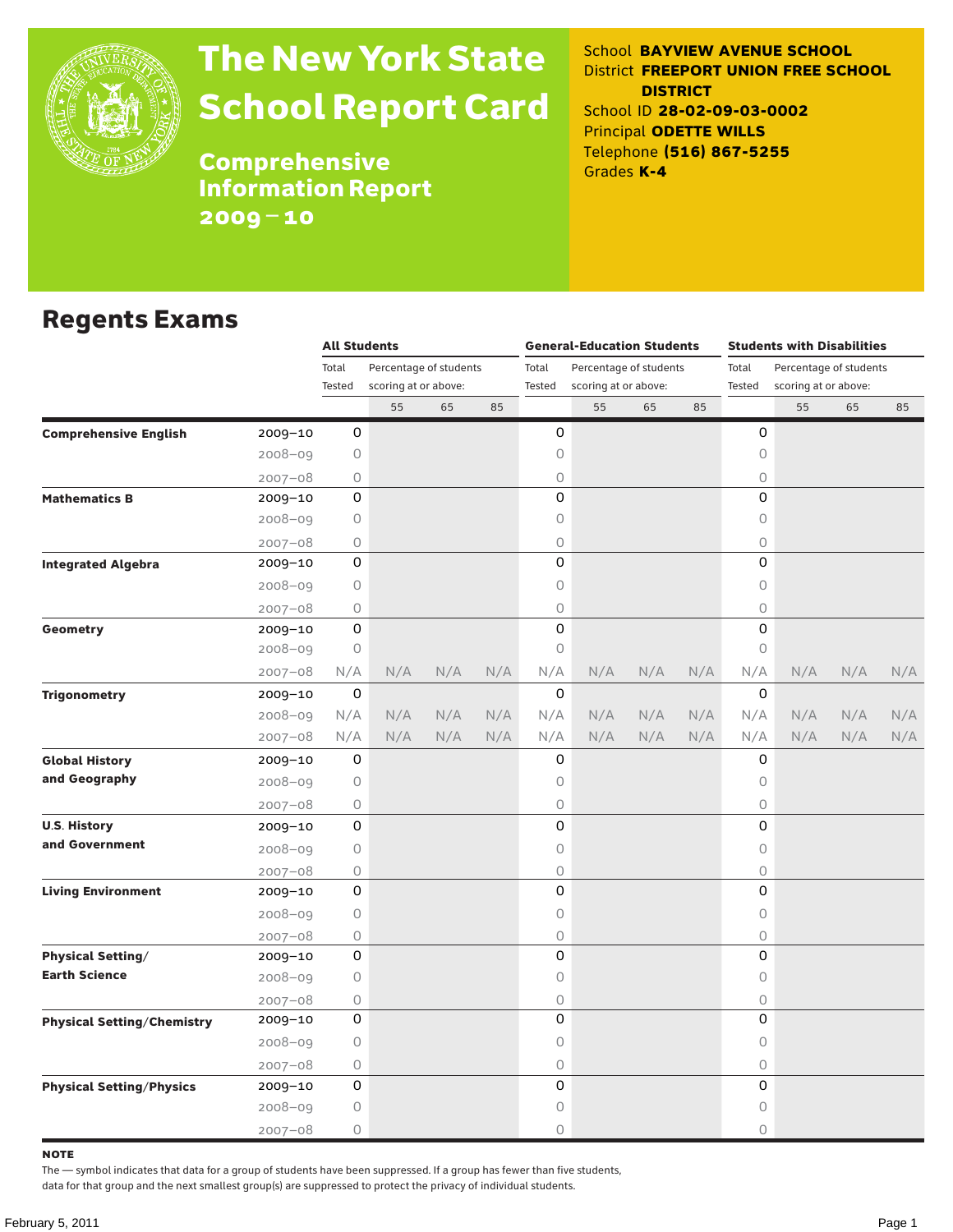

# The New York State School Report Card

School **BAYVIEW AVENUE SCHOOL** District **FREEPORT UNION FREE SCHOOL DISTRICT** School ID **28-02-09-03-0002** Principal **ODETTE WILLS** Telephone **(516) 867-5255** Grades **K-4**

**Comprehensive** Information Report 2009–10

### Regents Exams

|                                   |             | <b>All Students</b> |                                                |     |     |             | <b>General-Education Students</b> |     |     | <b>Students with Disabilities</b> |                      |     |     |  |
|-----------------------------------|-------------|---------------------|------------------------------------------------|-----|-----|-------------|-----------------------------------|-----|-----|-----------------------------------|----------------------|-----|-----|--|
|                                   |             | Total               | Percentage of students<br>scoring at or above: |     |     | Total       | Percentage of students            |     |     | Total<br>Percentage of students   |                      |     |     |  |
|                                   |             | Tested              |                                                |     |     | Tested      | scoring at or above:              |     |     | Tested                            | scoring at or above: |     |     |  |
|                                   |             |                     | 55                                             | 65  | 85  |             | 55                                | 65  | 85  |                                   | 55                   | 65  | 85  |  |
| <b>Comprehensive English</b>      | 2009-10     | 0                   |                                                |     |     | 0           |                                   |     |     | 0                                 |                      |     |     |  |
|                                   | $2008 - 09$ | 0                   |                                                |     |     | 0           |                                   |     |     | $\mathsf O$                       |                      |     |     |  |
|                                   | $2007 - 08$ | 0                   |                                                |     |     | 0           |                                   |     |     | 0                                 |                      |     |     |  |
| <b>Mathematics B</b>              | 2009-10     | 0                   |                                                |     |     | 0           |                                   |     |     | 0                                 |                      |     |     |  |
|                                   | $2008 - 09$ | 0                   |                                                |     |     | 0           |                                   |     |     | $\circ$                           |                      |     |     |  |
|                                   | $2007 - 08$ | 0                   |                                                |     |     | 0           |                                   |     |     | 0                                 |                      |     |     |  |
| <b>Integrated Algebra</b>         | 2009-10     | 0                   |                                                |     |     | 0           |                                   |     |     | 0                                 |                      |     |     |  |
|                                   | 2008-09     | 0                   |                                                |     |     | 0           |                                   |     |     | $\mathsf O$                       |                      |     |     |  |
|                                   | $2007 - 08$ | 0                   |                                                |     |     | 0           |                                   |     |     | $\bigcirc$                        |                      |     |     |  |
| Geometry                          | 2009-10     | 0                   |                                                |     |     | 0           |                                   |     |     | 0                                 |                      |     |     |  |
|                                   | 2008-09     | 0                   |                                                |     |     | 0           |                                   |     |     | $\circ$                           |                      |     |     |  |
|                                   | $2007 - 08$ | N/A                 | N/A                                            | N/A | N/A | N/A         | N/A                               | N/A | N/A | N/A                               | N/A                  | N/A | N/A |  |
| <b>Trigonometry</b>               | 2009-10     | 0                   |                                                |     |     | $\mathbf 0$ |                                   |     |     | 0                                 |                      |     |     |  |
|                                   | 2008-09     | N/A                 | N/A                                            | N/A | N/A | N/A         | N/A                               | N/A | N/A | N/A                               | N/A                  | N/A | N/A |  |
|                                   | $2007 - 08$ | N/A                 | N/A                                            | N/A | N/A | N/A         | N/A                               | N/A | N/A | N/A                               | N/A                  | N/A | N/A |  |
| <b>Global History</b>             | 2009-10     | 0                   |                                                |     |     | 0           |                                   |     |     | 0                                 |                      |     |     |  |
| and Geography                     | $2008 - 09$ | 0                   |                                                |     |     | 0           |                                   |     |     | $\circ$                           |                      |     |     |  |
|                                   | $2007 - 08$ | 0                   |                                                |     |     | 0           |                                   |     |     | $\bigcirc$                        |                      |     |     |  |
| <b>U.S. History</b>               | 2009-10     | 0                   |                                                |     |     | 0           |                                   |     |     | 0                                 |                      |     |     |  |
| and Government                    | $2008 - 09$ | 0                   |                                                |     |     | 0           |                                   |     |     | $\circ$                           |                      |     |     |  |
|                                   | $2007 - 08$ | 0                   |                                                |     |     | 0           |                                   |     |     | $\bigcirc$                        |                      |     |     |  |
| <b>Living Environment</b>         | 2009-10     | 0                   |                                                |     |     | 0           |                                   |     |     | 0                                 |                      |     |     |  |
|                                   | $2008 - 09$ | 0                   |                                                |     |     | 0           |                                   |     |     | 0                                 |                      |     |     |  |
|                                   | $2007 - 08$ | 0                   |                                                |     |     | 0           |                                   |     |     | $\bigcirc$                        |                      |     |     |  |
| <b>Physical Setting/</b>          | 2009-10     | 0                   |                                                |     |     | 0           |                                   |     |     | 0                                 |                      |     |     |  |
| <b>Earth Science</b>              | $2008 - 09$ | 0                   |                                                |     |     | 0           |                                   |     |     | 0                                 |                      |     |     |  |
|                                   | $2007 - 08$ | 0                   |                                                |     |     | 0           |                                   |     |     | $\bigcirc$                        |                      |     |     |  |
| <b>Physical Setting/Chemistry</b> | 2009-10     | 0                   |                                                |     |     | 0           |                                   |     |     | 0                                 |                      |     |     |  |
|                                   | $2008 - 09$ | 0                   |                                                |     |     | 0           |                                   |     |     | $\circ$                           |                      |     |     |  |
|                                   | $2007 - 08$ | 0                   |                                                |     |     | 0           |                                   |     |     | $\bigcirc$                        |                      |     |     |  |
| <b>Physical Setting/Physics</b>   | 2009-10     | 0                   |                                                |     |     | 0           |                                   |     |     | 0                                 |                      |     |     |  |
|                                   | $2008 - 09$ | 0                   |                                                |     |     | 0           |                                   |     |     | $\circ$                           |                      |     |     |  |
|                                   | $2007 - 08$ | 0                   |                                                |     |     | 0           |                                   |     |     | $\circ$                           |                      |     |     |  |

note

The — symbol indicates that data for a group of students have been suppressed. If a group has fewer than five students,

data for that group and the next smallest group(s) are suppressed to protect the privacy of individual students.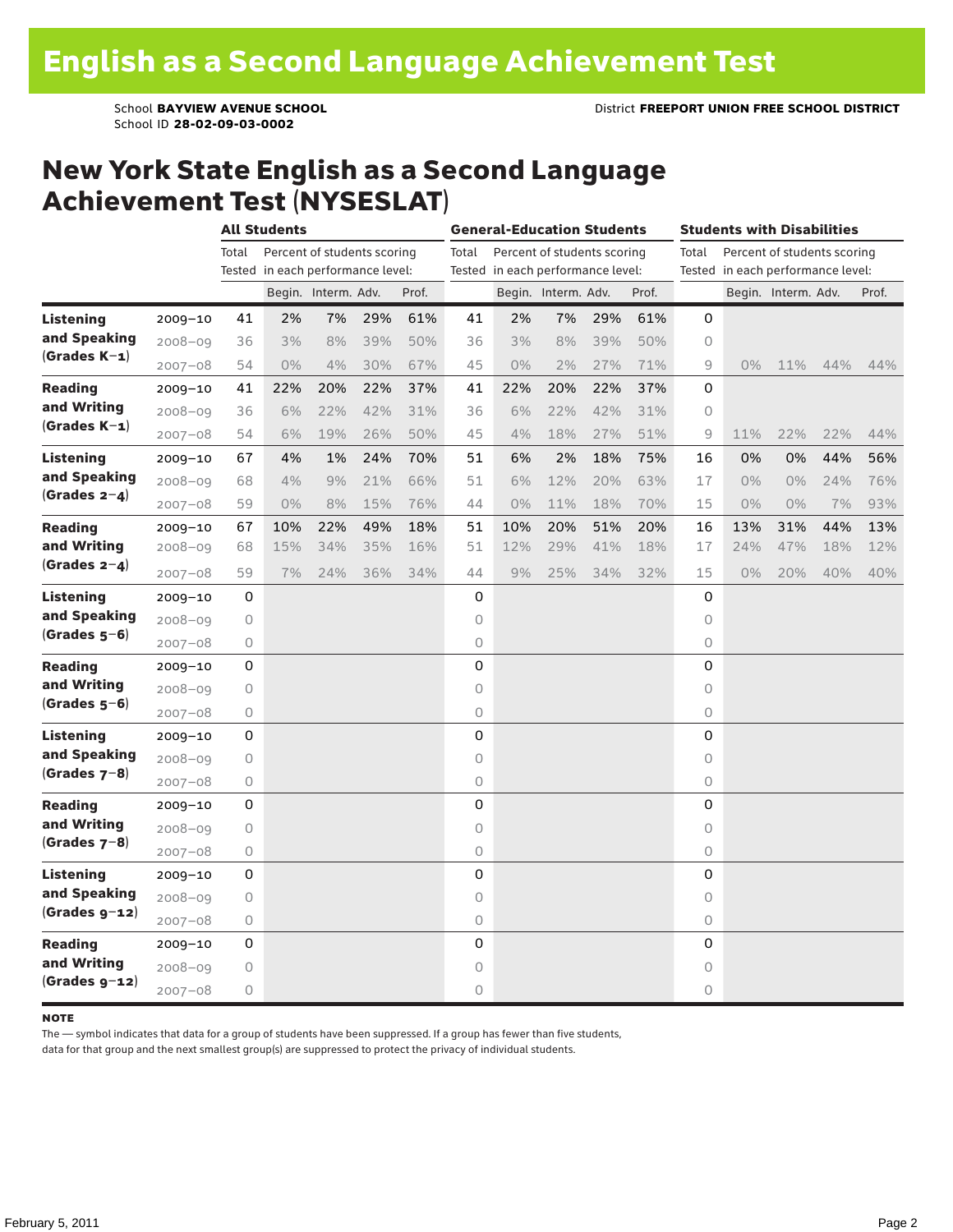School ID **28-02-09-03-0002**

### New York State English as a Second Language Achievement Test (NYSESLAT)

|                                                 |             |       | <b>All Students</b>               |                     |     |       | <b>General-Education Students</b> |     |                             | Students with Disabilities |       |                                      |                                   |                     |     |       |  |
|-------------------------------------------------|-------------|-------|-----------------------------------|---------------------|-----|-------|-----------------------------------|-----|-----------------------------|----------------------------|-------|--------------------------------------|-----------------------------------|---------------------|-----|-------|--|
|                                                 |             | Total | Percent of students scoring       |                     |     |       |                                   |     | Percent of students scoring |                            |       | Percent of students scoring<br>Total |                                   |                     |     |       |  |
|                                                 |             |       | Tested in each performance level: |                     |     |       | Tested in each performance level: |     |                             |                            |       |                                      | Tested in each performance level: |                     |     |       |  |
|                                                 |             |       |                                   | Begin. Interm. Adv. |     | Prof. |                                   |     | Begin. Interm. Adv.         |                            | Prof. |                                      |                                   | Begin. Interm. Adv. |     | Prof. |  |
| <b>Listening</b>                                | 2009-10     | 41    | 2%                                | 7%                  | 29% | 61%   | 41                                | 2%  | 7%                          | 29%                        | 61%   | 0                                    |                                   |                     |     |       |  |
| and Speaking<br>$(Grades K-1)$                  | 2008-09     | 36    | 3%                                | 8%                  | 39% | 50%   | 36                                | 3%  | 8%                          | 39%                        | 50%   | 0                                    |                                   |                     |     |       |  |
|                                                 | $2007 - 08$ | 54    | $0\%$                             | 4%                  | 30% | 67%   | 45                                | 0%  | 2%                          | 27%                        | 71%   | 9                                    | $0\%$                             | 11%                 | 44% | 44%   |  |
| Reading<br>and Writing                          | $2009 - 10$ | 41    | 22%                               | 20%                 | 22% | 37%   | 41                                | 22% | 20%                         | 22%                        | 37%   | 0                                    |                                   |                     |     |       |  |
|                                                 | 2008-09     | 36    | 6%                                | 22%                 | 42% | 31%   | 36                                | 6%  | 22%                         | 42%                        | 31%   | 0                                    |                                   |                     |     |       |  |
| $(Grades K-1)$                                  | $2007 - 08$ | 54    | 6%                                | 19%                 | 26% | 50%   | 45                                | 4%  | 18%                         | 27%                        | 51%   | 9                                    | 11%                               | 22%                 | 22% | 44%   |  |
| Listening<br>and Speaking<br>$(Grades 2-4)$     | $2009 - 10$ | 67    | 4%                                | 1%                  | 24% | 70%   | 51                                | 6%  | 2%                          | 18%                        | 75%   | 16                                   | 0%                                | 0%                  | 44% | 56%   |  |
|                                                 | 2008-09     | 68    | 4%                                | 9%                  | 21% | 66%   | 51                                | 6%  | 12%                         | 20%                        | 63%   | 17                                   | $0\%$                             | 0%                  | 24% | 76%   |  |
|                                                 | $2007 - 08$ | 59    | $0\%$                             | 8%                  | 15% | 76%   | 44                                | 0%  | 11%                         | 18%                        | 70%   | 15                                   | $0\%$                             | 0%                  | 7%  | 93%   |  |
| <b>Reading</b><br>and Writing<br>$(Grades 2-4)$ | 2009-10     | 67    | 10%                               | 22%                 | 49% | 18%   | 51                                | 10% | 20%                         | 51%                        | 20%   | 16                                   | 13%                               | 31%                 | 44% | 13%   |  |
|                                                 | $2008 - 09$ | 68    | 15%                               | 34%                 | 35% | 16%   | $51$                              | 12% | 29%                         | 41%                        | 18%   | 17                                   | 24%                               | 47%                 | 18% | 12%   |  |
|                                                 | $2007 - 08$ | 59    | 7%                                | 24%                 | 36% | 34%   | 44                                | 9%  | 25%                         | 34%                        | 32%   | 15                                   | $0\%$                             | 20%                 | 40% | 40%   |  |
| Listening<br>and Speaking<br>$(Grades 5-6)$     | $2009 - 10$ | 0     |                                   |                     |     |       | 0                                 |     |                             |                            |       | 0                                    |                                   |                     |     |       |  |
|                                                 | $2008 - 09$ | 0     |                                   |                     |     |       | 0                                 |     |                             |                            |       | 0                                    |                                   |                     |     |       |  |
|                                                 | $2007 - 08$ | 0     |                                   |                     |     |       | 0                                 |     |                             |                            |       | 0                                    |                                   |                     |     |       |  |
| <b>Reading</b><br>and Writing<br>$(Grades 5-6)$ | $2009 - 10$ | 0     |                                   |                     |     |       | 0                                 |     |                             |                            |       | 0                                    |                                   |                     |     |       |  |
|                                                 | 2008-09     | 0     |                                   |                     |     |       | 0                                 |     |                             |                            |       | 0                                    |                                   |                     |     |       |  |
|                                                 | 2007-08     | 0     |                                   |                     |     |       | 0                                 |     |                             |                            |       | 0                                    |                                   |                     |     |       |  |
| Listening<br>and Speaking<br>$(Grades 7-8)$     | 2009-10     | 0     |                                   |                     |     |       | 0                                 |     |                             |                            |       | $\Omega$                             |                                   |                     |     |       |  |
|                                                 | 2008-09     | 0     |                                   |                     |     |       | 0                                 |     |                             |                            |       | 0                                    |                                   |                     |     |       |  |
|                                                 | $2007 - 08$ | 0     |                                   |                     |     |       | 0                                 |     |                             |                            |       | 0                                    |                                   |                     |     |       |  |
| <b>Reading</b><br>and Writing<br>$(Grades 7-8)$ | $2009 - 10$ | 0     |                                   |                     |     |       | 0                                 |     |                             |                            |       | 0                                    |                                   |                     |     |       |  |
|                                                 | 2008-09     | 0     |                                   |                     |     |       | 0                                 |     |                             |                            |       | 0                                    |                                   |                     |     |       |  |
|                                                 | $2007 - 08$ | 0     |                                   |                     |     |       | 0                                 |     |                             |                            |       | 0                                    |                                   |                     |     |       |  |
| Listening<br>and Speaking<br>$(Grades g-12)$    | 2009-10     | 0     |                                   |                     |     |       | 0                                 |     |                             |                            |       | 0                                    |                                   |                     |     |       |  |
|                                                 | $2008 - 09$ | 0     |                                   |                     |     |       | 0                                 |     |                             |                            |       | 0                                    |                                   |                     |     |       |  |
|                                                 | $2007 - 08$ | 0     |                                   |                     |     |       | 0                                 |     |                             |                            |       | 0                                    |                                   |                     |     |       |  |
| Reading<br>and Writing<br>$(Grades g-12)$       | 2009-10     | 0     |                                   |                     |     |       | 0                                 |     |                             |                            |       | 0                                    |                                   |                     |     |       |  |
|                                                 | $2008 - 09$ | 0     |                                   |                     |     |       | 0                                 |     |                             |                            |       | $\circ$                              |                                   |                     |     |       |  |
|                                                 | $2007 - 08$ | 0     |                                   |                     |     |       | 0                                 |     |                             |                            |       | 0                                    |                                   |                     |     |       |  |

#### **NOTE**

The — symbol indicates that data for a group of students have been suppressed. If a group has fewer than five students,

data for that group and the next smallest group(s) are suppressed to protect the privacy of individual students.